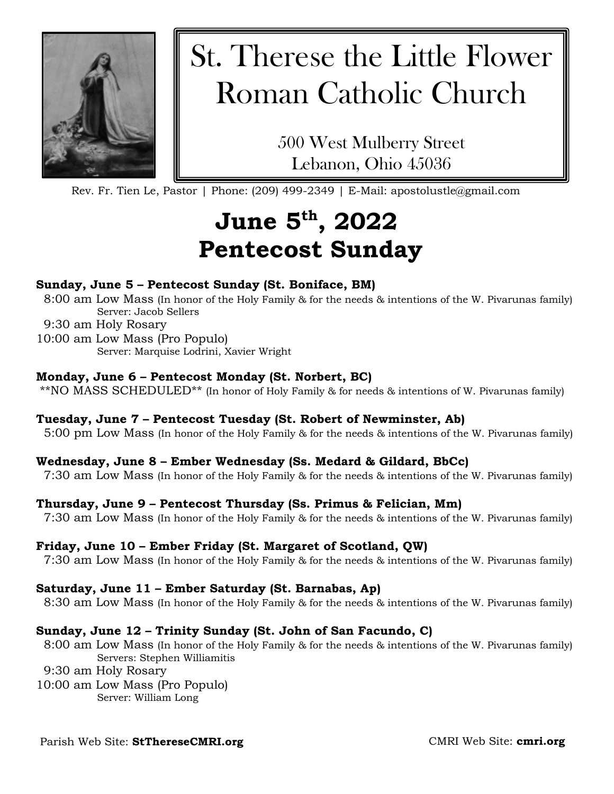

# St. Therese the Little Flower Roman Catholic Church

500 West Mulberry Street Lebanon, Ohio 45036

Rev. Fr. Tien Le, Pastor | Phone: (209) 499-2349 | E-Mail: apostolustle@gmail.com

## **June 5th, 2022 Pentecost Sunday**

#### **Sunday, June 5 – Pentecost Sunday (St. Boniface, BM)**

- 8:00 am Low Mass (In honor of the Holy Family & for the needs & intentions of the W. Pivarunas family) Server: Jacob Sellers
- 9:30 am Holy Rosary
- 10:00 am Low Mass (Pro Populo) Server: Marquise Lodrini, Xavier Wright

#### **Monday, June 6 – Pentecost Monday (St. Norbert, BC)**

\*\*NO MASS SCHEDULED\*\* (In honor of Holy Family & for needs & intentions of W. Pivarunas family)

#### **Tuesday, June 7 – Pentecost Tuesday (St. Robert of Newminster, Ab)**

5:00 pm Low Mass (In honor of the Holy Family & for the needs & intentions of the W. Pivarunas family)

#### **Wednesday, June 8 – Ember Wednesday (Ss. Medard & Gildard, BbCc)**

7:30 am Low Mass (In honor of the Holy Family & for the needs & intentions of the W. Pivarunas family)

#### **Thursday, June 9 – Pentecost Thursday (Ss. Primus & Felician, Mm)**

7:30 am Low Mass (In honor of the Holy Family & for the needs & intentions of the W. Pivarunas family)

#### **Friday, June 10 – Ember Friday (St. Margaret of Scotland, QW)**

7:30 am Low Mass (In honor of the Holy Family & for the needs & intentions of the W. Pivarunas family)

#### **Saturday, June 11 – Ember Saturday (St. Barnabas, Ap)**

8:30 am Low Mass (In honor of the Holy Family & for the needs & intentions of the W. Pivarunas family)

#### **Sunday, June 12 – Trinity Sunday (St. John of San Facundo, C)**

8:00 am Low Mass (In honor of the Holy Family & for the needs & intentions of the W. Pivarunas family) Servers: Stephen Williamitis

- 9:30 am Holy Rosary
- 10:00 am Low Mass (Pro Populo) Server: William Long